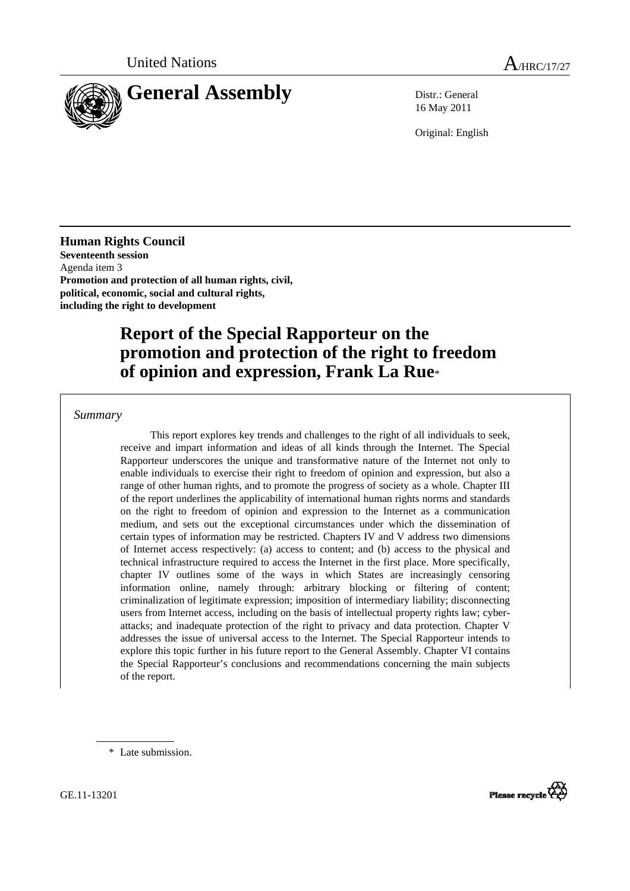

16 May 2011

Original: English

**Human Rights Council Seventeenth session** Agenda item 3 **Promotion and protection of all human rights, civil, political, economic, social and cultural rights, including the right to development**

# **Report of the Special Rapporteur on the promotion and protection of the right to freedom of opinion and expression, Frank La Rue**\*

*Summary* 

 This report explores key trends and challenges to the right of all individuals to seek, receive and impart information and ideas of all kinds through the Internet. The Special Rapporteur underscores the unique and transformative nature of the Internet not only to enable individuals to exercise their right to freedom of opinion and expression, but also a range of other human rights, and to promote the progress of society as a whole. Chapter III of the report underlines the applicability of international human rights norms and standards on the right to freedom of opinion and expression to the Internet as a communication medium, and sets out the exceptional circumstances under which the dissemination of certain types of information may be restricted. Chapters IV and V address two dimensions of Internet access respectively: (a) access to content; and (b) access to the physical and technical infrastructure required to access the Internet in the first place. More specifically, chapter IV outlines some of the ways in which States are increasingly censoring information online, namely through: arbitrary blocking or filtering of content; criminalization of legitimate expression; imposition of intermediary liability; disconnecting users from Internet access, including on the basis of intellectual property rights law; cyberattacks; and inadequate protection of the right to privacy and data protection. Chapter V addresses the issue of universal access to the Internet. The Special Rapporteur intends to explore this topic further in his future report to the General Assembly. Chapter VI contains the Special Rapporteur's conclusions and recommendations concerning the main subjects of the report.

\* Late submission.

GE.11-13201

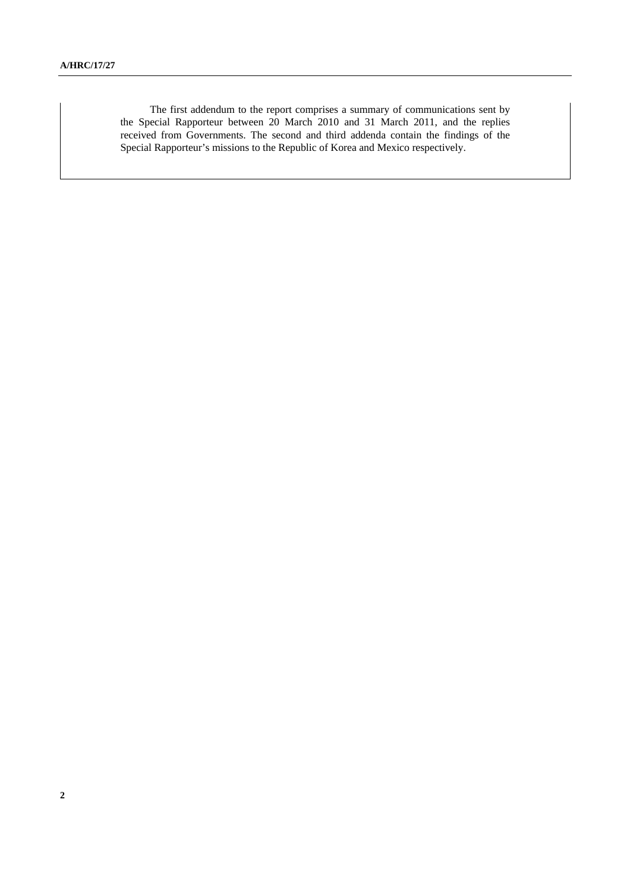The first addendum to the report comprises a summary of communications sent by the Special Rapporteur between 20 March 2010 and 31 March 2011, and the replies received from Governments. The second and third addenda contain the findings of the Special Rapporteur's missions to the Republic of Korea and Mexico respectively.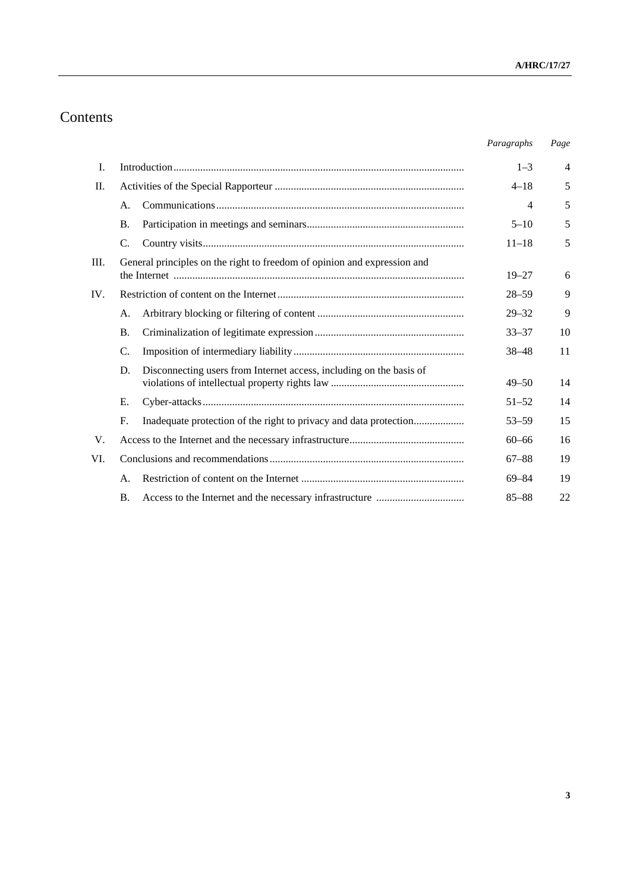# Contents

| Page |
|------|
|      |

| I.  |                                                                           | $1 - 3$   | 4  |
|-----|---------------------------------------------------------------------------|-----------|----|
| П.  |                                                                           | $4 - 18$  | 5  |
|     | А.                                                                        | 4         | 5  |
|     | Β.                                                                        | $5 - 10$  | 5  |
|     | C.                                                                        | $11 - 18$ | 5  |
| Ш.  | General principles on the right to freedom of opinion and expression and  |           |    |
|     |                                                                           | $19 - 27$ | 6  |
| IV. |                                                                           | $28 - 59$ | 9  |
|     | А.                                                                        | $29 - 32$ | 9  |
|     | Β.                                                                        | $33 - 37$ | 10 |
|     | C.                                                                        | $38 - 48$ | 11 |
|     | Disconnecting users from Internet access, including on the basis of<br>D. |           |    |
|     |                                                                           | $49 - 50$ | 14 |
|     | Е.                                                                        | $51 - 52$ | 14 |
|     | F.                                                                        | $53 - 59$ | 15 |
| V.  |                                                                           | $60 - 66$ | 16 |
| VI. |                                                                           | $67 - 88$ | 19 |
|     | A.                                                                        | $69 - 84$ | 19 |
|     | Β.                                                                        | $85 - 88$ | 22 |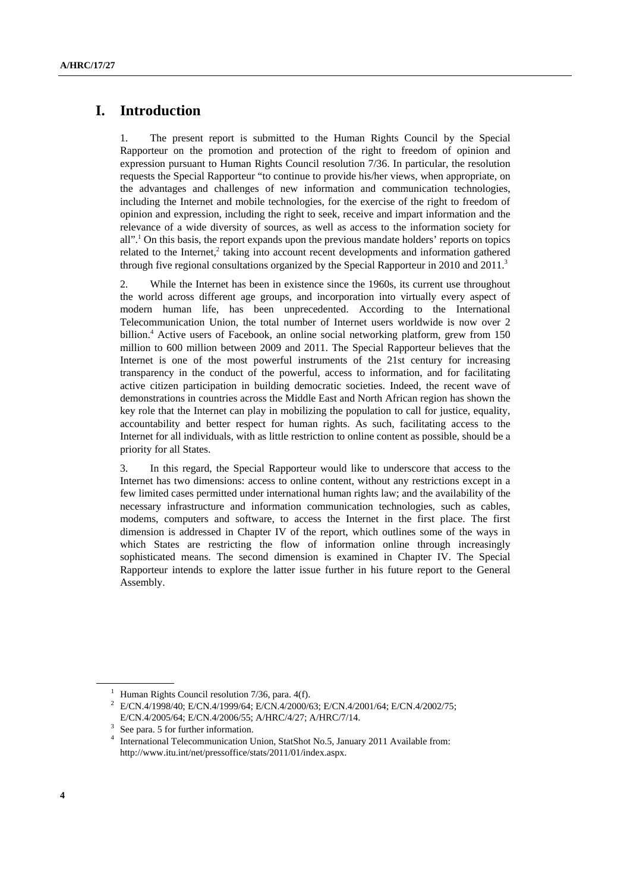# **I. Introduction**

1. The present report is submitted to the Human Rights Council by the Special Rapporteur on the promotion and protection of the right to freedom of opinion and expression pursuant to Human Rights Council resolution 7/36. In particular, the resolution requests the Special Rapporteur "to continue to provide his/her views, when appropriate, on the advantages and challenges of new information and communication technologies, including the Internet and mobile technologies, for the exercise of the right to freedom of opinion and expression, including the right to seek, receive and impart information and the relevance of a wide diversity of sources, as well as access to the information society for all".<sup>1</sup> On this basis, the report expands upon the previous mandate holders' reports on topics related to the Internet,<sup>2</sup> taking into account recent developments and information gathered through five regional consultations organized by the Special Rapporteur in 2010 and  $2011<sup>3</sup>$ 

2. While the Internet has been in existence since the 1960s, its current use throughout the world across different age groups, and incorporation into virtually every aspect of modern human life, has been unprecedented. According to the International Telecommunication Union, the total number of Internet users worldwide is now over 2 billion.<sup>4</sup> Active users of Facebook, an online social networking platform, grew from 150 million to 600 million between 2009 and 2011. The Special Rapporteur believes that the Internet is one of the most powerful instruments of the 21st century for increasing transparency in the conduct of the powerful, access to information, and for facilitating active citizen participation in building democratic societies. Indeed, the recent wave of demonstrations in countries across the Middle East and North African region has shown the key role that the Internet can play in mobilizing the population to call for justice, equality, accountability and better respect for human rights. As such, facilitating access to the Internet for all individuals, with as little restriction to online content as possible, should be a priority for all States.

3. In this regard, the Special Rapporteur would like to underscore that access to the Internet has two dimensions: access to online content, without any restrictions except in a few limited cases permitted under international human rights law; and the availability of the necessary infrastructure and information communication technologies, such as cables, modems, computers and software, to access the Internet in the first place. The first dimension is addressed in Chapter IV of the report, which outlines some of the ways in which States are restricting the flow of information online through increasingly sophisticated means. The second dimension is examined in Chapter IV. The Special Rapporteur intends to explore the latter issue further in his future report to the General Assembly.

<sup>&</sup>lt;sup>1</sup> Human Rights Council resolution 7/36, para.  $4(f)$ .

<sup>2</sup> E/CN.4/1998/40; E/CN.4/1999/64; E/CN.4/2000/63; E/CN.4/2001/64; E/CN.4/2002/75; E/CN.4/2005/64; E/CN.4/2006/55; A/HRC/4/27; A/HRC/7/14. 3

 $S^3$  See para. 5 for further information.

<sup>4</sup> International Telecommunication Union, StatShot No.5, January 2011 Available from: http://www.itu.int/net/pressoffice/stats/2011/01/index.aspx.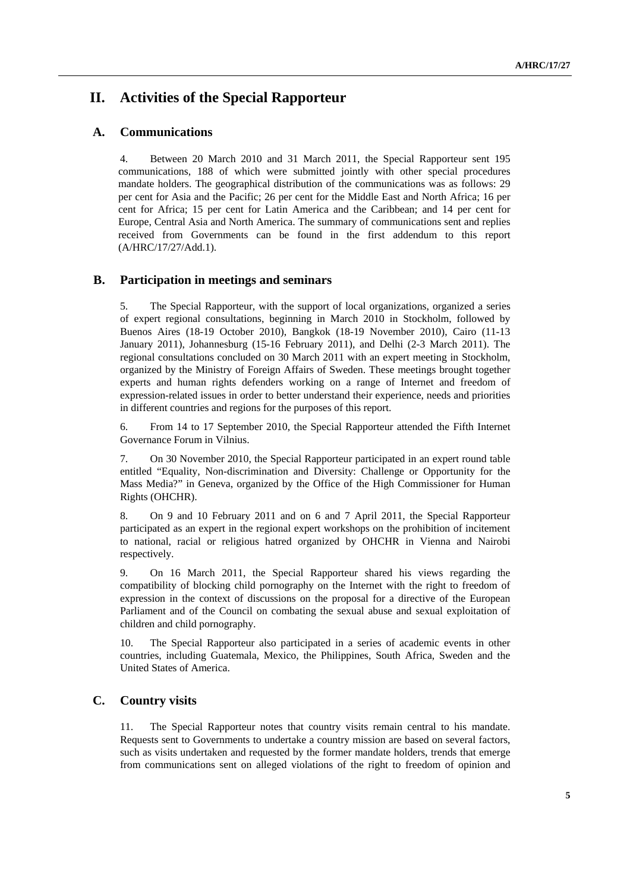# **II. Activities of the Special Rapporteur**

# **A. Communications**

4. Between 20 March 2010 and 31 March 2011, the Special Rapporteur sent 195 communications, 188 of which were submitted jointly with other special procedures mandate holders. The geographical distribution of the communications was as follows: 29 per cent for Asia and the Pacific; 26 per cent for the Middle East and North Africa; 16 per cent for Africa; 15 per cent for Latin America and the Caribbean; and 14 per cent for Europe, Central Asia and North America. The summary of communications sent and replies received from Governments can be found in the first addendum to this report (A/HRC/17/27/Add.1).

# **B. Participation in meetings and seminars**

5. The Special Rapporteur, with the support of local organizations, organized a series of expert regional consultations, beginning in March 2010 in Stockholm, followed by Buenos Aires (18-19 October 2010), Bangkok (18-19 November 2010), Cairo (11-13 January 2011), Johannesburg (15-16 February 2011), and Delhi (2-3 March 2011). The regional consultations concluded on 30 March 2011 with an expert meeting in Stockholm, organized by the Ministry of Foreign Affairs of Sweden. These meetings brought together experts and human rights defenders working on a range of Internet and freedom of expression-related issues in order to better understand their experience, needs and priorities in different countries and regions for the purposes of this report.

6. From 14 to 17 September 2010, the Special Rapporteur attended the Fifth Internet Governance Forum in Vilnius.

7. On 30 November 2010, the Special Rapporteur participated in an expert round table entitled "Equality, Non-discrimination and Diversity: Challenge or Opportunity for the Mass Media?" in Geneva, organized by the Office of the High Commissioner for Human Rights (OHCHR).

8. On 9 and 10 February 2011 and on 6 and 7 April 2011, the Special Rapporteur participated as an expert in the regional expert workshops on the prohibition of incitement to national, racial or religious hatred organized by OHCHR in Vienna and Nairobi respectively.

9. On 16 March 2011, the Special Rapporteur shared his views regarding the compatibility of blocking child pornography on the Internet with the right to freedom of expression in the context of discussions on the proposal for a directive of the European Parliament and of the Council on combating the sexual abuse and sexual exploitation of children and child pornography.

10. The Special Rapporteur also participated in a series of academic events in other countries, including Guatemala, Mexico, the Philippines, South Africa, Sweden and the United States of America.

## **C. Country visits**

11. The Special Rapporteur notes that country visits remain central to his mandate. Requests sent to Governments to undertake a country mission are based on several factors, such as visits undertaken and requested by the former mandate holders, trends that emerge from communications sent on alleged violations of the right to freedom of opinion and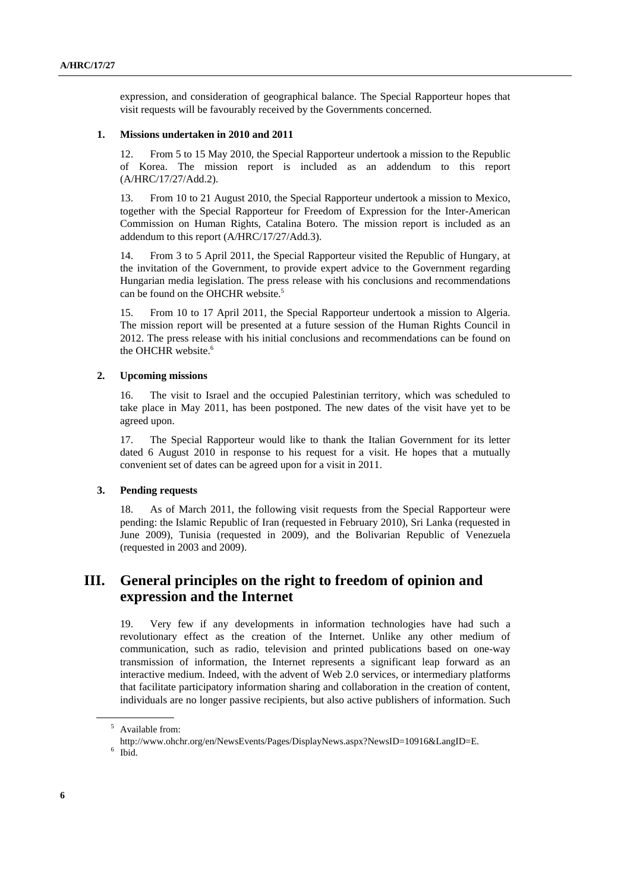expression, and consideration of geographical balance. The Special Rapporteur hopes that visit requests will be favourably received by the Governments concerned.

#### **1. Missions undertaken in 2010 and 2011**

12. From 5 to 15 May 2010, the Special Rapporteur undertook a mission to the Republic of Korea. The mission report is included as an addendum to this report (A/HRC/17/27/Add.2).

13. From 10 to 21 August 2010, the Special Rapporteur undertook a mission to Mexico, together with the Special Rapporteur for Freedom of Expression for the Inter-American Commission on Human Rights, Catalina Botero. The mission report is included as an addendum to this report (A/HRC/17/27/Add.3).

14. From 3 to 5 April 2011, the Special Rapporteur visited the Republic of Hungary, at the invitation of the Government, to provide expert advice to the Government regarding Hungarian media legislation. The press release with his conclusions and recommendations can be found on the OHCHR website.<sup>5</sup>

15. From 10 to 17 April 2011, the Special Rapporteur undertook a mission to Algeria. The mission report will be presented at a future session of the Human Rights Council in 2012. The press release with his initial conclusions and recommendations can be found on the OHCHR website.<sup>6</sup>

#### **2. Upcoming missions**

16. The visit to Israel and the occupied Palestinian territory, which was scheduled to take place in May 2011, has been postponed. The new dates of the visit have yet to be agreed upon.

17. The Special Rapporteur would like to thank the Italian Government for its letter dated 6 August 2010 in response to his request for a visit. He hopes that a mutually convenient set of dates can be agreed upon for a visit in 2011.

#### **3. Pending requests**

18. As of March 2011, the following visit requests from the Special Rapporteur were pending: the Islamic Republic of Iran (requested in February 2010), Sri Lanka (requested in June 2009), Tunisia (requested in 2009), and the Bolivarian Republic of Venezuela (requested in 2003 and 2009).

# **III. General principles on the right to freedom of opinion and expression and the Internet**

19. Very few if any developments in information technologies have had such a revolutionary effect as the creation of the Internet. Unlike any other medium of communication, such as radio, television and printed publications based on one-way transmission of information, the Internet represents a significant leap forward as an interactive medium. Indeed, with the advent of Web 2.0 services, or intermediary platforms that facilitate participatory information sharing and collaboration in the creation of content, individuals are no longer passive recipients, but also active publishers of information. Such

<sup>5</sup> Available from:

http://www.ohchr.org/en/NewsEvents/Pages/DisplayNews.aspx?NewsID=10916&LangID=E. 6

 $6$  Ibid.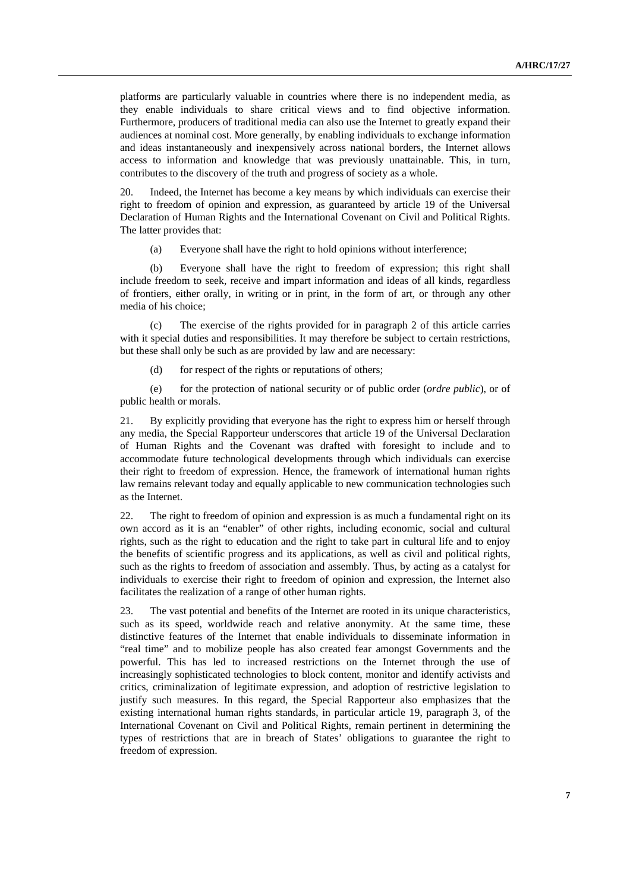platforms are particularly valuable in countries where there is no independent media, as they enable individuals to share critical views and to find objective information. Furthermore, producers of traditional media can also use the Internet to greatly expand their audiences at nominal cost. More generally, by enabling individuals to exchange information and ideas instantaneously and inexpensively across national borders, the Internet allows access to information and knowledge that was previously unattainable. This, in turn, contributes to the discovery of the truth and progress of society as a whole.

20. Indeed, the Internet has become a key means by which individuals can exercise their right to freedom of opinion and expression, as guaranteed by article 19 of the Universal Declaration of Human Rights and the International Covenant on Civil and Political Rights. The latter provides that:

(a) Everyone shall have the right to hold opinions without interference;

 (b) Everyone shall have the right to freedom of expression; this right shall include freedom to seek, receive and impart information and ideas of all kinds, regardless of frontiers, either orally, in writing or in print, in the form of art, or through any other media of his choice;

 (c) The exercise of the rights provided for in paragraph 2 of this article carries with it special duties and responsibilities. It may therefore be subject to certain restrictions, but these shall only be such as are provided by law and are necessary:

(d) for respect of the rights or reputations of others;

 (e) for the protection of national security or of public order (*ordre public*), or of public health or morals.

21. By explicitly providing that everyone has the right to express him or herself through any media, the Special Rapporteur underscores that article 19 of the Universal Declaration of Human Rights and the Covenant was drafted with foresight to include and to accommodate future technological developments through which individuals can exercise their right to freedom of expression. Hence, the framework of international human rights law remains relevant today and equally applicable to new communication technologies such as the Internet.

22. The right to freedom of opinion and expression is as much a fundamental right on its own accord as it is an "enabler" of other rights, including economic, social and cultural rights, such as the right to education and the right to take part in cultural life and to enjoy the benefits of scientific progress and its applications, as well as civil and political rights, such as the rights to freedom of association and assembly. Thus, by acting as a catalyst for individuals to exercise their right to freedom of opinion and expression, the Internet also facilitates the realization of a range of other human rights.

23. The vast potential and benefits of the Internet are rooted in its unique characteristics, such as its speed, worldwide reach and relative anonymity. At the same time, these distinctive features of the Internet that enable individuals to disseminate information in "real time" and to mobilize people has also created fear amongst Governments and the powerful. This has led to increased restrictions on the Internet through the use of increasingly sophisticated technologies to block content, monitor and identify activists and critics, criminalization of legitimate expression, and adoption of restrictive legislation to justify such measures. In this regard, the Special Rapporteur also emphasizes that the existing international human rights standards, in particular article 19, paragraph 3, of the International Covenant on Civil and Political Rights, remain pertinent in determining the types of restrictions that are in breach of States' obligations to guarantee the right to freedom of expression.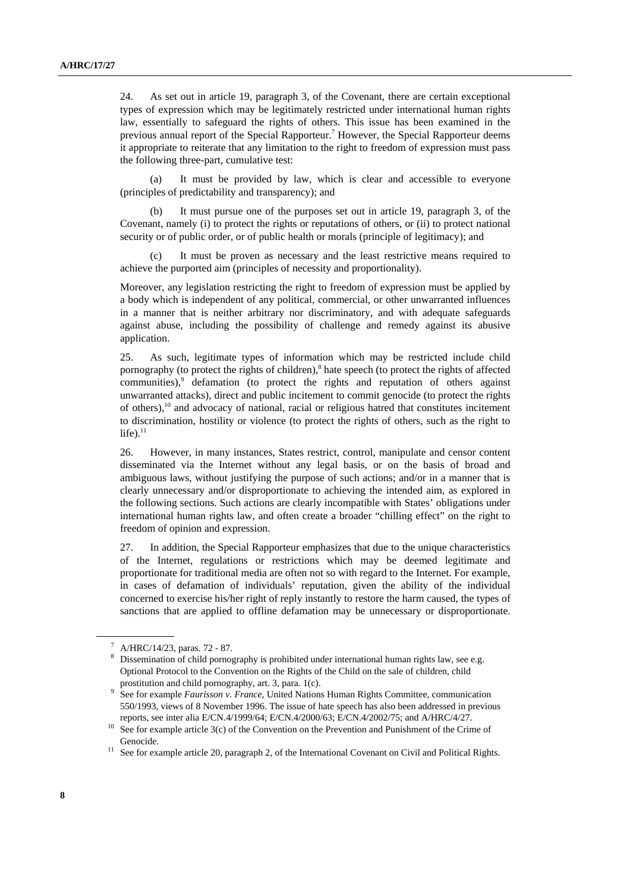24. As set out in article 19, paragraph 3, of the Covenant, there are certain exceptional types of expression which may be legitimately restricted under international human rights law, essentially to safeguard the rights of others. This issue has been examined in the previous annual report of the Special Rapporteur.<sup>7</sup> However, the Special Rapporteur deems it appropriate to reiterate that any limitation to the right to freedom of expression must pass the following three-part, cumulative test:

 (a) It must be provided by law, which is clear and accessible to everyone (principles of predictability and transparency); and

It must pursue one of the purposes set out in article 19, paragraph 3, of the Covenant, namely (i) to protect the rights or reputations of others, or (ii) to protect national security or of public order, or of public health or morals (principle of legitimacy); and

It must be proven as necessary and the least restrictive means required to achieve the purported aim (principles of necessity and proportionality).

Moreover, any legislation restricting the right to freedom of expression must be applied by a body which is independent of any political, commercial, or other unwarranted influences in a manner that is neither arbitrary nor discriminatory, and with adequate safeguards against abuse, including the possibility of challenge and remedy against its abusive application.

25. As such, legitimate types of information which may be restricted include child pornography (to protect the rights of children),<sup>8</sup> hate speech (to protect the rights of affected communities), $9$  defamation (to protect the rights and reputation of others against unwarranted attacks), direct and public incitement to commit genocide (to protect the rights of others), $10$  and advocacy of national, racial or religious hatred that constitutes incitement to discrimination, hostility or violence (to protect the rights of others, such as the right to  $life).<sup>11</sup>$ 

26. However, in many instances, States restrict, control, manipulate and censor content disseminated via the Internet without any legal basis, or on the basis of broad and ambiguous laws, without justifying the purpose of such actions; and/or in a manner that is clearly unnecessary and/or disproportionate to achieving the intended aim, as explored in the following sections. Such actions are clearly incompatible with States' obligations under international human rights law, and often create a broader "chilling effect" on the right to freedom of opinion and expression.

27. In addition, the Special Rapporteur emphasizes that due to the unique characteristics of the Internet, regulations or restrictions which may be deemed legitimate and proportionate for traditional media are often not so with regard to the Internet. For example, in cases of defamation of individuals' reputation, given the ability of the individual concerned to exercise his/her right of reply instantly to restore the harm caused, the types of sanctions that are applied to offline defamation may be unnecessary or disproportionate.

<sup>7</sup> A/HRC/14/23, paras. 72 - 87.

Dissemination of child pornography is prohibited under international human rights law, see e.g. Optional Protocol to the Convention on the Rights of the Child on the sale of children, child prostitution and child pornography, art. 3, para. 1(c).<br><sup>9</sup> See for example *Faurisson v. France*, United Nations Human Rights Committee, communication

<sup>550/1993,</sup> views of 8 November 1996. The issue of hate speech has also been addressed in previous

reports, see inter alia E/CN.4/1999/64; E/CN.4/2000/63; E/CN.4/2002/75; and A/HRC/4/27. 10 See for example article 3(c) of the Convention on the Prevention and Punishment of the Crime of

Genocide.<br><sup>11</sup> See for example article 20, paragraph 2, of the International Covenant on Civil and Political Rights.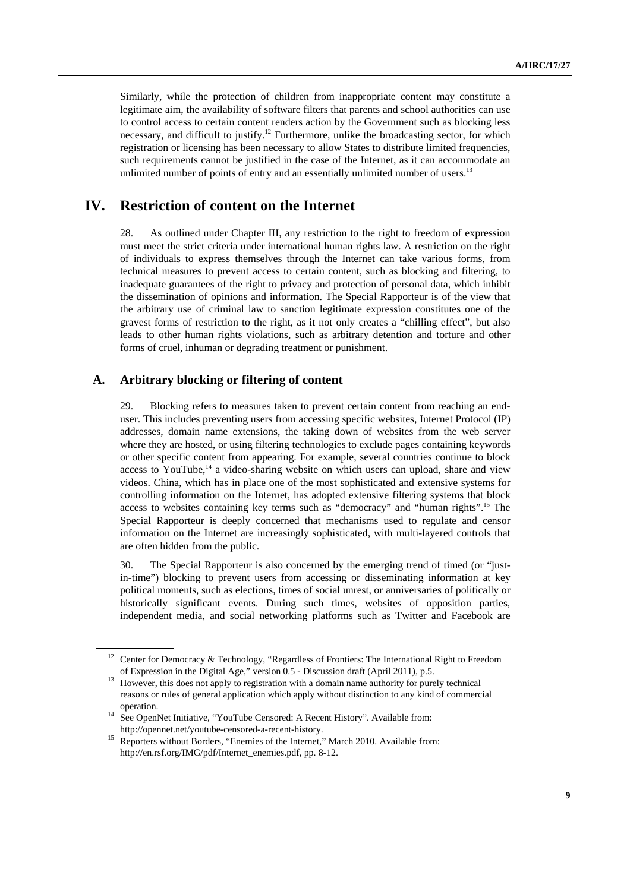Similarly, while the protection of children from inappropriate content may constitute a legitimate aim, the availability of software filters that parents and school authorities can use to control access to certain content renders action by the Government such as blocking less necessary, and difficult to justify.<sup>12</sup> Furthermore, unlike the broadcasting sector, for which registration or licensing has been necessary to allow States to distribute limited frequencies, such requirements cannot be justified in the case of the Internet, as it can accommodate an unlimited number of points of entry and an essentially unlimited number of users. $13$ 

# **IV. Restriction of content on the Internet**

28. As outlined under Chapter III, any restriction to the right to freedom of expression must meet the strict criteria under international human rights law. A restriction on the right of individuals to express themselves through the Internet can take various forms, from technical measures to prevent access to certain content, such as blocking and filtering, to inadequate guarantees of the right to privacy and protection of personal data, which inhibit the dissemination of opinions and information. The Special Rapporteur is of the view that the arbitrary use of criminal law to sanction legitimate expression constitutes one of the gravest forms of restriction to the right, as it not only creates a "chilling effect", but also leads to other human rights violations, such as arbitrary detention and torture and other forms of cruel, inhuman or degrading treatment or punishment.

#### **A. Arbitrary blocking or filtering of content**

29. Blocking refers to measures taken to prevent certain content from reaching an enduser. This includes preventing users from accessing specific websites, Internet Protocol (IP) addresses, domain name extensions, the taking down of websites from the web server where they are hosted, or using filtering technologies to exclude pages containing keywords or other specific content from appearing. For example, several countries continue to block access to YouTube,<sup>14</sup> a video-sharing website on which users can upload, share and view videos. China, which has in place one of the most sophisticated and extensive systems for controlling information on the Internet, has adopted extensive filtering systems that block access to websites containing key terms such as "democracy" and "human rights".15 The Special Rapporteur is deeply concerned that mechanisms used to regulate and censor information on the Internet are increasingly sophisticated, with multi-layered controls that are often hidden from the public.

30. The Special Rapporteur is also concerned by the emerging trend of timed (or "justin-time") blocking to prevent users from accessing or disseminating information at key political moments, such as elections, times of social unrest, or anniversaries of politically or historically significant events. During such times, websites of opposition parties, independent media, and social networking platforms such as Twitter and Facebook are

<sup>&</sup>lt;sup>12</sup> Center for Democracy & Technology, "Regardless of Frontiers: The International Right to Freedom

of Expression in the Digital Age," version 0.5 - Discussion draft (April 2011), p.5. 13 However, this does not apply to registration with a domain name authority for purely technical reasons or rules of general application which apply without distinction to any kind of commercial

operation. 14 See OpenNet Initiative, "YouTube Censored: A Recent History". Available from:

http://opennet.net/youtube-censored-a-recent-history.<br><sup>15</sup> Reporters without Borders, "Enemies of the Internet," March 2010. Available from: http://en.rsf.org/IMG/pdf/Internet\_enemies.pdf, pp. 8-12.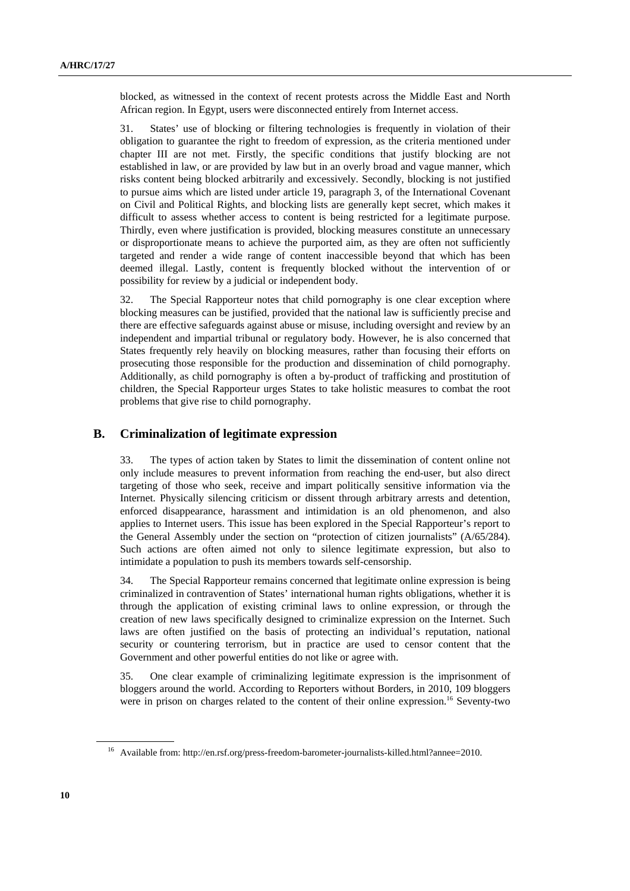blocked, as witnessed in the context of recent protests across the Middle East and North African region. In Egypt, users were disconnected entirely from Internet access.

31. States' use of blocking or filtering technologies is frequently in violation of their obligation to guarantee the right to freedom of expression, as the criteria mentioned under chapter III are not met. Firstly, the specific conditions that justify blocking are not established in law, or are provided by law but in an overly broad and vague manner, which risks content being blocked arbitrarily and excessively. Secondly, blocking is not justified to pursue aims which are listed under article 19, paragraph 3, of the International Covenant on Civil and Political Rights, and blocking lists are generally kept secret, which makes it difficult to assess whether access to content is being restricted for a legitimate purpose. Thirdly, even where justification is provided, blocking measures constitute an unnecessary or disproportionate means to achieve the purported aim, as they are often not sufficiently targeted and render a wide range of content inaccessible beyond that which has been deemed illegal. Lastly, content is frequently blocked without the intervention of or possibility for review by a judicial or independent body.

32. The Special Rapporteur notes that child pornography is one clear exception where blocking measures can be justified, provided that the national law is sufficiently precise and there are effective safeguards against abuse or misuse, including oversight and review by an independent and impartial tribunal or regulatory body. However, he is also concerned that States frequently rely heavily on blocking measures, rather than focusing their efforts on prosecuting those responsible for the production and dissemination of child pornography. Additionally, as child pornography is often a by-product of trafficking and prostitution of children, the Special Rapporteur urges States to take holistic measures to combat the root problems that give rise to child pornography.

## **B. Criminalization of legitimate expression**

33. The types of action taken by States to limit the dissemination of content online not only include measures to prevent information from reaching the end-user, but also direct targeting of those who seek, receive and impart politically sensitive information via the Internet. Physically silencing criticism or dissent through arbitrary arrests and detention, enforced disappearance, harassment and intimidation is an old phenomenon, and also applies to Internet users. This issue has been explored in the Special Rapporteur's report to the General Assembly under the section on "protection of citizen journalists" (A/65/284). Such actions are often aimed not only to silence legitimate expression, but also to intimidate a population to push its members towards self-censorship.

34. The Special Rapporteur remains concerned that legitimate online expression is being criminalized in contravention of States' international human rights obligations, whether it is through the application of existing criminal laws to online expression, or through the creation of new laws specifically designed to criminalize expression on the Internet. Such laws are often justified on the basis of protecting an individual's reputation, national security or countering terrorism, but in practice are used to censor content that the Government and other powerful entities do not like or agree with.

35. One clear example of criminalizing legitimate expression is the imprisonment of bloggers around the world. According to Reporters without Borders, in 2010, 109 bloggers were in prison on charges related to the content of their online expression.<sup>16</sup> Seventy-two

<sup>16</sup> Available from: http://en.rsf.org/press-freedom-barometer-journalists-killed.html?annee=2010.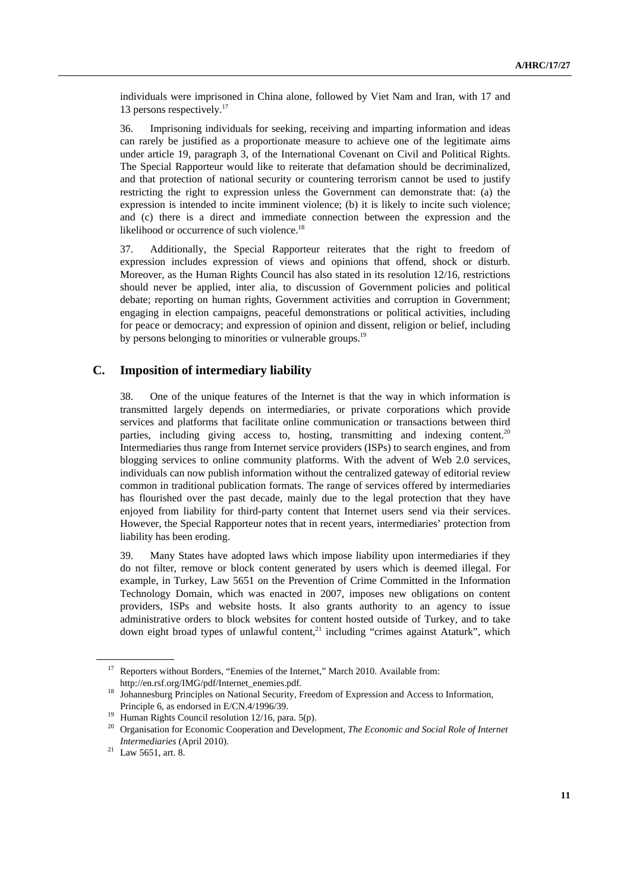individuals were imprisoned in China alone, followed by Viet Nam and Iran, with 17 and 13 persons respectively.<sup>17</sup>

36. Imprisoning individuals for seeking, receiving and imparting information and ideas can rarely be justified as a proportionate measure to achieve one of the legitimate aims under article 19, paragraph 3, of the International Covenant on Civil and Political Rights. The Special Rapporteur would like to reiterate that defamation should be decriminalized, and that protection of national security or countering terrorism cannot be used to justify restricting the right to expression unless the Government can demonstrate that: (a) the expression is intended to incite imminent violence; (b) it is likely to incite such violence; and (c) there is a direct and immediate connection between the expression and the likelihood or occurrence of such violence.<sup>18</sup>

37. Additionally, the Special Rapporteur reiterates that the right to freedom of expression includes expression of views and opinions that offend, shock or disturb. Moreover, as the Human Rights Council has also stated in its resolution 12/16, restrictions should never be applied, inter alia, to discussion of Government policies and political debate; reporting on human rights, Government activities and corruption in Government; engaging in election campaigns, peaceful demonstrations or political activities, including for peace or democracy; and expression of opinion and dissent, religion or belief, including by persons belonging to minorities or vulnerable groups.<sup>19</sup>

## **C. Imposition of intermediary liability**

38. One of the unique features of the Internet is that the way in which information is transmitted largely depends on intermediaries, or private corporations which provide services and platforms that facilitate online communication or transactions between third parties, including giving access to, hosting, transmitting and indexing content.<sup>20</sup> Intermediaries thus range from Internet service providers (ISPs) to search engines, and from blogging services to online community platforms. With the advent of Web 2.0 services, individuals can now publish information without the centralized gateway of editorial review common in traditional publication formats. The range of services offered by intermediaries has flourished over the past decade, mainly due to the legal protection that they have enjoyed from liability for third-party content that Internet users send via their services. However, the Special Rapporteur notes that in recent years, intermediaries' protection from liability has been eroding.

39. Many States have adopted laws which impose liability upon intermediaries if they do not filter, remove or block content generated by users which is deemed illegal. For example, in Turkey, Law 5651 on the Prevention of Crime Committed in the Information Technology Domain, which was enacted in 2007, imposes new obligations on content providers, ISPs and website hosts. It also grants authority to an agency to issue administrative orders to block websites for content hosted outside of Turkey, and to take down eight broad types of unlawful content, $21$  including "crimes against Ataturk", which

<sup>&</sup>lt;sup>17</sup> Reporters without Borders, "Enemies of the Internet," March 2010. Available from:

http://en.rsf.org/IMG/pdf/Internet\_enemies.pdf. 18 Johannesburg Principles on National Security, Freedom of Expression and Access to Information,

Principle 6, as endorsed in E/CN.4/1996/39.<br><sup>19</sup> Human Rights Council resolution 12/16, para. 5(p).

<sup>20</sup> Organisation for Economic Cooperation and Development, *The Economic and Social Role of Internet Intermediaries* (April 2010). 21 Law 5651, art. 8.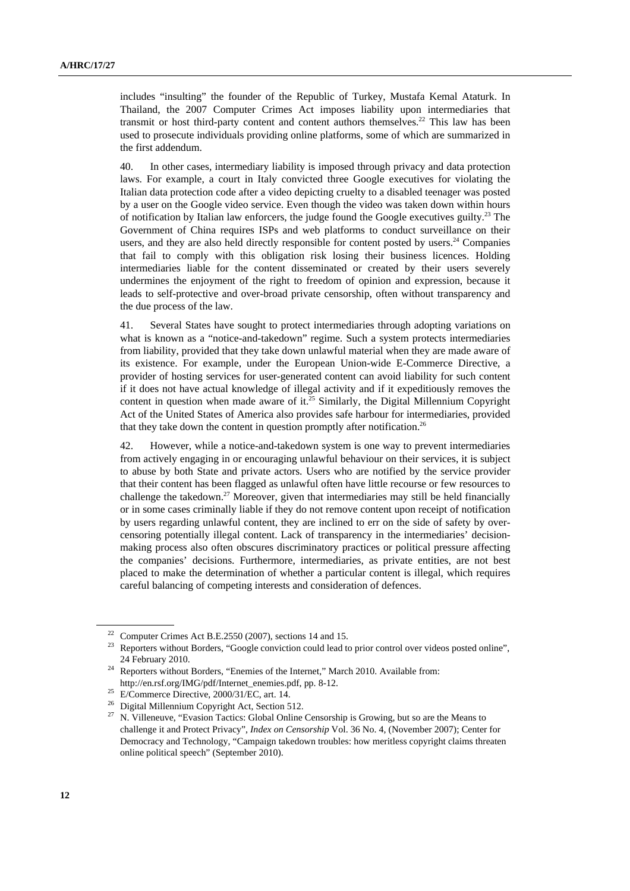includes "insulting" the founder of the Republic of Turkey, Mustafa Kemal Ataturk. In Thailand, the 2007 Computer Crimes Act imposes liability upon intermediaries that transmit or host third-party content and content authors themselves.<sup>22</sup> This law has been used to prosecute individuals providing online platforms, some of which are summarized in the first addendum.

40. In other cases, intermediary liability is imposed through privacy and data protection laws. For example, a court in Italy convicted three Google executives for violating the Italian data protection code after a video depicting cruelty to a disabled teenager was posted by a user on the Google video service. Even though the video was taken down within hours of notification by Italian law enforcers, the judge found the Google executives guilty.23 The Government of China requires ISPs and web platforms to conduct surveillance on their users, and they are also held directly responsible for content posted by users.<sup>24</sup> Companies that fail to comply with this obligation risk losing their business licences. Holding intermediaries liable for the content disseminated or created by their users severely undermines the enjoyment of the right to freedom of opinion and expression, because it leads to self-protective and over-broad private censorship, often without transparency and the due process of the law.

41. Several States have sought to protect intermediaries through adopting variations on what is known as a "notice-and-takedown" regime. Such a system protects intermediaries from liability, provided that they take down unlawful material when they are made aware of its existence. For example, under the European Union-wide E-Commerce Directive, a provider of hosting services for user-generated content can avoid liability for such content if it does not have actual knowledge of illegal activity and if it expeditiously removes the content in question when made aware of it.<sup>25</sup> Similarly, the Digital Millennium Copyright Act of the United States of America also provides safe harbour for intermediaries, provided that they take down the content in question promptly after notification.<sup>26</sup>

42. However, while a notice-and-takedown system is one way to prevent intermediaries from actively engaging in or encouraging unlawful behaviour on their services, it is subject to abuse by both State and private actors. Users who are notified by the service provider that their content has been flagged as unlawful often have little recourse or few resources to challenge the takedown.<sup>27</sup> Moreover, given that intermediaries may still be held financially or in some cases criminally liable if they do not remove content upon receipt of notification by users regarding unlawful content, they are inclined to err on the side of safety by overcensoring potentially illegal content. Lack of transparency in the intermediaries' decisionmaking process also often obscures discriminatory practices or political pressure affecting the companies' decisions. Furthermore, intermediaries, as private entities, are not best placed to make the determination of whether a particular content is illegal, which requires careful balancing of competing interests and consideration of defences.

<sup>&</sup>lt;sup>22</sup> Computer Crimes Act B.E.2550 (2007), sections 14 and 15.<br><sup>23</sup> Reporters without Borders, "Google conviction could lead to prior control over videos posted online",

<sup>24</sup> February 2010. 24 Reporters without Borders, "Enemies of the Internet," March 2010. Available from: http://en.rsf.org/IMG/pdf/Internet\_enemies.pdf, pp. 8-12. 25 E/Commerce Directive, 2000/31/EC, art. 14.

<sup>26</sup> Digital Millennium Copyright Act, Section 512.

<sup>&</sup>lt;sup>27</sup> N. Villeneuve, "Evasion Tactics: Global Online Censorship is Growing, but so are the Means to challenge it and Protect Privacy", *Index on Censorship* Vol. 36 No. 4, (November 2007); Center for Democracy and Technology, "Campaign takedown troubles: how meritless copyright claims threaten online political speech" (September 2010).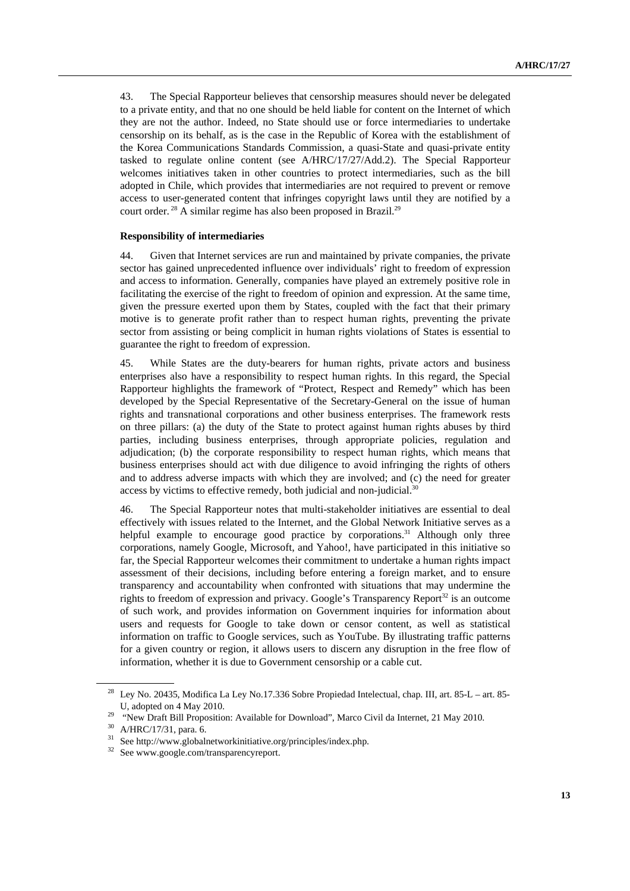43. The Special Rapporteur believes that censorship measures should never be delegated to a private entity, and that no one should be held liable for content on the Internet of which they are not the author. Indeed, no State should use or force intermediaries to undertake censorship on its behalf, as is the case in the Republic of Korea with the establishment of the Korea Communications Standards Commission, a quasi-State and quasi-private entity tasked to regulate online content (see A/HRC/17/27/Add.2). The Special Rapporteur welcomes initiatives taken in other countries to protect intermediaries, such as the bill adopted in Chile, which provides that intermediaries are not required to prevent or remove access to user-generated content that infringes copyright laws until they are notified by a court order.<sup>28</sup> A similar regime has also been proposed in Brazil.<sup>29</sup>

#### **Responsibility of intermediaries**

44. Given that Internet services are run and maintained by private companies, the private sector has gained unprecedented influence over individuals' right to freedom of expression and access to information. Generally, companies have played an extremely positive role in facilitating the exercise of the right to freedom of opinion and expression. At the same time, given the pressure exerted upon them by States, coupled with the fact that their primary motive is to generate profit rather than to respect human rights, preventing the private sector from assisting or being complicit in human rights violations of States is essential to guarantee the right to freedom of expression.

45. While States are the duty-bearers for human rights, private actors and business enterprises also have a responsibility to respect human rights. In this regard, the Special Rapporteur highlights the framework of "Protect, Respect and Remedy" which has been developed by the Special Representative of the Secretary-General on the issue of human rights and transnational corporations and other business enterprises. The framework rests on three pillars: (a) the duty of the State to protect against human rights abuses by third parties, including business enterprises, through appropriate policies, regulation and adjudication; (b) the corporate responsibility to respect human rights, which means that business enterprises should act with due diligence to avoid infringing the rights of others and to address adverse impacts with which they are involved; and (c) the need for greater access by victims to effective remedy, both judicial and non-judicial.<sup>30</sup>

46. The Special Rapporteur notes that multi-stakeholder initiatives are essential to deal effectively with issues related to the Internet, and the Global Network Initiative serves as a helpful example to encourage good practice by corporations.<sup>31</sup> Although only three corporations, namely Google, Microsoft, and Yahoo!, have participated in this initiative so far, the Special Rapporteur welcomes their commitment to undertake a human rights impact assessment of their decisions, including before entering a foreign market, and to ensure transparency and accountability when confronted with situations that may undermine the rights to freedom of expression and privacy. Google's Transparency Report<sup>32</sup> is an outcome of such work, and provides information on Government inquiries for information about users and requests for Google to take down or censor content, as well as statistical information on traffic to Google services, such as YouTube. By illustrating traffic patterns for a given country or region, it allows users to discern any disruption in the free flow of information, whether it is due to Government censorship or a cable cut.

<sup>28</sup> Ley No. 20435, Modifica La Ley No.17.336 Sobre Propiedad Intelectual, chap. III, art. 85-L – art. 85-

U, adopted on 4 May 2010.<br>
<sup>29</sup> "New Draft Bill Proposition: Available for Download", Marco Civil da Internet, 21 May 2010.<br>
<sup>30</sup> A/HRC/17/31. para. 6.

<sup>&</sup>lt;sup>31</sup> See http://www.globalnetworkinitiative.org/principles/index.php.<br><sup>32</sup> See www.google.com/transparencyreport.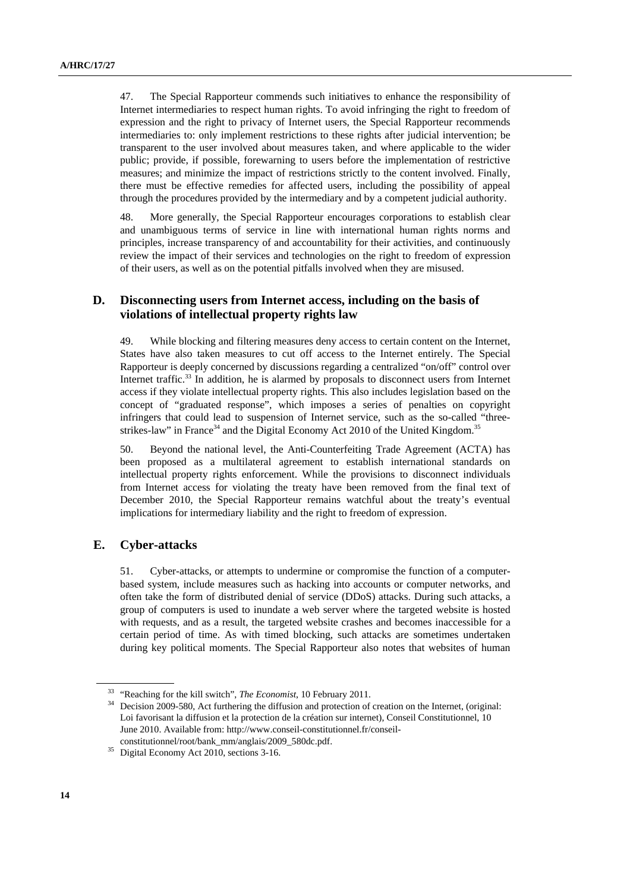47. The Special Rapporteur commends such initiatives to enhance the responsibility of Internet intermediaries to respect human rights. To avoid infringing the right to freedom of expression and the right to privacy of Internet users, the Special Rapporteur recommends intermediaries to: only implement restrictions to these rights after judicial intervention; be transparent to the user involved about measures taken, and where applicable to the wider public; provide, if possible, forewarning to users before the implementation of restrictive measures; and minimize the impact of restrictions strictly to the content involved. Finally, there must be effective remedies for affected users, including the possibility of appeal through the procedures provided by the intermediary and by a competent judicial authority.

48. More generally, the Special Rapporteur encourages corporations to establish clear and unambiguous terms of service in line with international human rights norms and principles, increase transparency of and accountability for their activities, and continuously review the impact of their services and technologies on the right to freedom of expression of their users, as well as on the potential pitfalls involved when they are misused.

# **D. Disconnecting users from Internet access, including on the basis of violations of intellectual property rights law**

49. While blocking and filtering measures deny access to certain content on the Internet, States have also taken measures to cut off access to the Internet entirely. The Special Rapporteur is deeply concerned by discussions regarding a centralized "on/off" control over Internet traffic.<sup>33</sup> In addition, he is alarmed by proposals to disconnect users from Internet access if they violate intellectual property rights. This also includes legislation based on the concept of "graduated response", which imposes a series of penalties on copyright infringers that could lead to suspension of Internet service, such as the so-called "threestrikes-law" in France<sup>34</sup> and the Digital Economy Act 2010 of the United Kingdom.<sup>35</sup>

50. Beyond the national level, the Anti-Counterfeiting Trade Agreement (ACTA) has been proposed as a multilateral agreement to establish international standards on intellectual property rights enforcement. While the provisions to disconnect individuals from Internet access for violating the treaty have been removed from the final text of December 2010, the Special Rapporteur remains watchful about the treaty's eventual implications for intermediary liability and the right to freedom of expression.

## **E. Cyber-attacks**

51. Cyber-attacks, or attempts to undermine or compromise the function of a computerbased system, include measures such as hacking into accounts or computer networks, and often take the form of distributed denial of service (DDoS) attacks. During such attacks, a group of computers is used to inundate a web server where the targeted website is hosted with requests, and as a result, the targeted website crashes and becomes inaccessible for a certain period of time. As with timed blocking, such attacks are sometimes undertaken during key political moments. The Special Rapporteur also notes that websites of human

<sup>&</sup>lt;sup>33</sup> "Reaching for the kill switch", *The Economist*, 10 February 2011.<br><sup>34</sup> Decision 2009-580, Act furthering the diffusion and protection of creation on the Internet, (original: Loi favorisant la diffusion et la protection de la création sur internet), Conseil Constitutionnel, 10 June 2010. Available from: http://www.conseil-constitutionnel.fr/conseil-

constitutionnel/root/bank\_mm/anglais/2009\_580dc.pdf. 35 Digital Economy Act 2010, sections 3-16.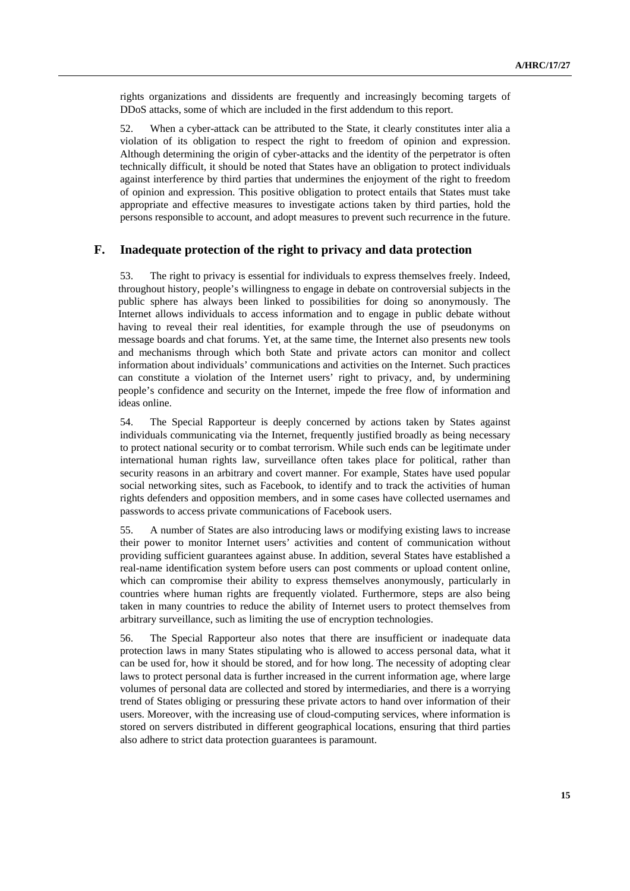rights organizations and dissidents are frequently and increasingly becoming targets of DDoS attacks, some of which are included in the first addendum to this report.

52. When a cyber-attack can be attributed to the State, it clearly constitutes inter alia a violation of its obligation to respect the right to freedom of opinion and expression. Although determining the origin of cyber-attacks and the identity of the perpetrator is often technically difficult, it should be noted that States have an obligation to protect individuals against interference by third parties that undermines the enjoyment of the right to freedom of opinion and expression. This positive obligation to protect entails that States must take appropriate and effective measures to investigate actions taken by third parties, hold the persons responsible to account, and adopt measures to prevent such recurrence in the future.

## **F. Inadequate protection of the right to privacy and data protection**

53. The right to privacy is essential for individuals to express themselves freely. Indeed, throughout history, people's willingness to engage in debate on controversial subjects in the public sphere has always been linked to possibilities for doing so anonymously. The Internet allows individuals to access information and to engage in public debate without having to reveal their real identities, for example through the use of pseudonyms on message boards and chat forums. Yet, at the same time, the Internet also presents new tools and mechanisms through which both State and private actors can monitor and collect information about individuals' communications and activities on the Internet. Such practices can constitute a violation of the Internet users' right to privacy, and, by undermining people's confidence and security on the Internet, impede the free flow of information and ideas online.

54. The Special Rapporteur is deeply concerned by actions taken by States against individuals communicating via the Internet, frequently justified broadly as being necessary to protect national security or to combat terrorism. While such ends can be legitimate under international human rights law, surveillance often takes place for political, rather than security reasons in an arbitrary and covert manner. For example, States have used popular social networking sites, such as Facebook, to identify and to track the activities of human rights defenders and opposition members, and in some cases have collected usernames and passwords to access private communications of Facebook users.

55. A number of States are also introducing laws or modifying existing laws to increase their power to monitor Internet users' activities and content of communication without providing sufficient guarantees against abuse. In addition, several States have established a real-name identification system before users can post comments or upload content online, which can compromise their ability to express themselves anonymously, particularly in countries where human rights are frequently violated. Furthermore, steps are also being taken in many countries to reduce the ability of Internet users to protect themselves from arbitrary surveillance, such as limiting the use of encryption technologies.

56. The Special Rapporteur also notes that there are insufficient or inadequate data protection laws in many States stipulating who is allowed to access personal data, what it can be used for, how it should be stored, and for how long. The necessity of adopting clear laws to protect personal data is further increased in the current information age, where large volumes of personal data are collected and stored by intermediaries, and there is a worrying trend of States obliging or pressuring these private actors to hand over information of their users. Moreover, with the increasing use of cloud-computing services, where information is stored on servers distributed in different geographical locations, ensuring that third parties also adhere to strict data protection guarantees is paramount.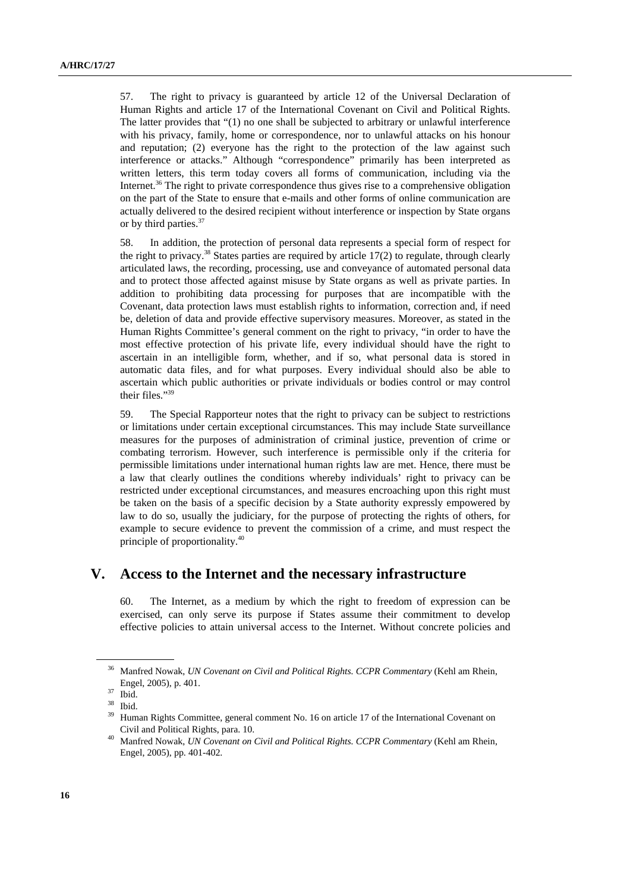57. The right to privacy is guaranteed by article 12 of the Universal Declaration of Human Rights and article 17 of the International Covenant on Civil and Political Rights. The latter provides that "(1) no one shall be subjected to arbitrary or unlawful interference with his privacy, family, home or correspondence, nor to unlawful attacks on his honour and reputation; (2) everyone has the right to the protection of the law against such interference or attacks." Although "correspondence" primarily has been interpreted as written letters, this term today covers all forms of communication, including via the Internet.<sup>36</sup> The right to private correspondence thus gives rise to a comprehensive obligation on the part of the State to ensure that e-mails and other forms of online communication are actually delivered to the desired recipient without interference or inspection by State organs or by third parties.<sup>37</sup>

58. In addition, the protection of personal data represents a special form of respect for the right to privacy.<sup>38</sup> States parties are required by article  $17(2)$  to regulate, through clearly articulated laws, the recording, processing, use and conveyance of automated personal data and to protect those affected against misuse by State organs as well as private parties. In addition to prohibiting data processing for purposes that are incompatible with the Covenant, data protection laws must establish rights to information, correction and, if need be, deletion of data and provide effective supervisory measures. Moreover, as stated in the Human Rights Committee's general comment on the right to privacy, "in order to have the most effective protection of his private life, every individual should have the right to ascertain in an intelligible form, whether, and if so, what personal data is stored in automatic data files, and for what purposes. Every individual should also be able to ascertain which public authorities or private individuals or bodies control or may control their files."39

59. The Special Rapporteur notes that the right to privacy can be subject to restrictions or limitations under certain exceptional circumstances. This may include State surveillance measures for the purposes of administration of criminal justice, prevention of crime or combating terrorism. However, such interference is permissible only if the criteria for permissible limitations under international human rights law are met. Hence, there must be a law that clearly outlines the conditions whereby individuals' right to privacy can be restricted under exceptional circumstances, and measures encroaching upon this right must be taken on the basis of a specific decision by a State authority expressly empowered by law to do so, usually the judiciary, for the purpose of protecting the rights of others, for example to secure evidence to prevent the commission of a crime, and must respect the principle of proportionality.40

# **V. Access to the Internet and the necessary infrastructure**

60. The Internet, as a medium by which the right to freedom of expression can be exercised, can only serve its purpose if States assume their commitment to develop effective policies to attain universal access to the Internet. Without concrete policies and

<sup>36</sup> Manfred Nowak, *UN Covenant on Civil and Political Rights. CCPR Commentary* (Kehl am Rhein, Engel, 2005), p. 401.<br><sup>37</sup> Ibid.

 $\frac{38}{39}$  Ibid.

<sup>39</sup> Human Rights Committee, general comment No. 16 on article 17 of the International Covenant on

Civil and Political Rights, para. 10. 40 Manfred Nowak, *UN Covenant on Civil and Political Rights. CCPR Commentary* (Kehl am Rhein, Engel, 2005), pp. 401-402.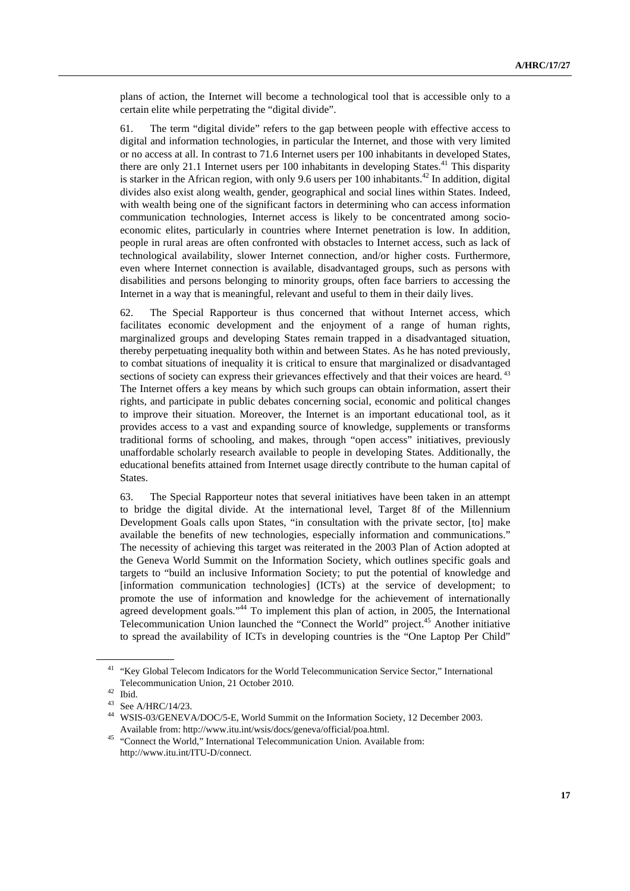plans of action, the Internet will become a technological tool that is accessible only to a certain elite while perpetrating the "digital divide".

61. The term "digital divide" refers to the gap between people with effective access to digital and information technologies, in particular the Internet, and those with very limited or no access at all. In contrast to 71.6 Internet users per 100 inhabitants in developed States, there are only 21.1 Internet users per 100 inhabitants in developing States.<sup>41</sup> This disparity is starker in the African region, with only 9.6 users per 100 inhabitants.<sup>42</sup> In addition, digital divides also exist along wealth, gender, geographical and social lines within States. Indeed, with wealth being one of the significant factors in determining who can access information communication technologies, Internet access is likely to be concentrated among socioeconomic elites, particularly in countries where Internet penetration is low. In addition, people in rural areas are often confronted with obstacles to Internet access, such as lack of technological availability, slower Internet connection, and/or higher costs. Furthermore, even where Internet connection is available, disadvantaged groups, such as persons with disabilities and persons belonging to minority groups, often face barriers to accessing the Internet in a way that is meaningful, relevant and useful to them in their daily lives.

62. The Special Rapporteur is thus concerned that without Internet access, which facilitates economic development and the enjoyment of a range of human rights, marginalized groups and developing States remain trapped in a disadvantaged situation, thereby perpetuating inequality both within and between States. As he has noted previously, to combat situations of inequality it is critical to ensure that marginalized or disadvantaged sections of society can express their grievances effectively and that their voices are heard.<sup>43</sup> The Internet offers a key means by which such groups can obtain information, assert their rights, and participate in public debates concerning social, economic and political changes to improve their situation. Moreover, the Internet is an important educational tool, as it provides access to a vast and expanding source of knowledge, supplements or transforms traditional forms of schooling, and makes, through "open access" initiatives, previously unaffordable scholarly research available to people in developing States. Additionally, the educational benefits attained from Internet usage directly contribute to the human capital of States.

63. The Special Rapporteur notes that several initiatives have been taken in an attempt to bridge the digital divide. At the international level, Target 8f of the Millennium Development Goals calls upon States, "in consultation with the private sector, [to] make available the benefits of new technologies, especially information and communications." The necessity of achieving this target was reiterated in the 2003 Plan of Action adopted at the Geneva World Summit on the Information Society, which outlines specific goals and targets to "build an inclusive Information Society; to put the potential of knowledge and [information communication technologies] (ICTs) at the service of development; to promote the use of information and knowledge for the achievement of internationally agreed development goals."<sup>44</sup> To implement this plan of action, in 2005, the International Telecommunication Union launched the "Connect the World" project.<sup>45</sup> Another initiative to spread the availability of ICTs in developing countries is the "One Laptop Per Child"

<sup>41 &</sup>quot;Key Global Telecom Indicators for the World Telecommunication Service Sector," International Telecommunication Union, 21 October 2010. 42 Ibid.

<sup>43</sup> See A/HRC/14/23.

<sup>44</sup> WSIS-03/GENEVA/DOC/5-E, World Summit on the Information Society, 12 December 2003.

Available from: http://www.itu.int/wsis/docs/geneva/official/poa.html.<br><sup>45</sup> "Connect the World," International Telecommunication Union. Available from: http://www.itu.int/ITU-D/connect.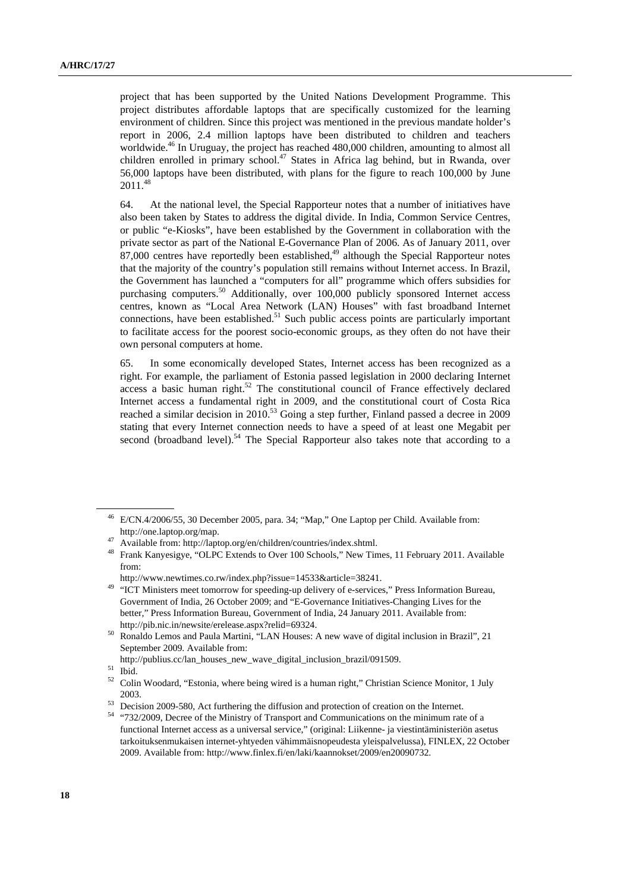project that has been supported by the United Nations Development Programme. This project distributes affordable laptops that are specifically customized for the learning environment of children. Since this project was mentioned in the previous mandate holder's report in 2006, 2.4 million laptops have been distributed to children and teachers worldwide.<sup>46</sup> In Uruguay, the project has reached 480,000 children, amounting to almost all children enrolled in primary school.<sup>47</sup> States in Africa lag behind, but in Rwanda, over 56,000 laptops have been distributed, with plans for the figure to reach 100,000 by June 2011.48

64. At the national level, the Special Rapporteur notes that a number of initiatives have also been taken by States to address the digital divide. In India, Common Service Centres, or public "e-Kiosks", have been established by the Government in collaboration with the private sector as part of the National E-Governance Plan of 2006. As of January 2011, over  $87,000$  centres have reportedly been established,<sup>49</sup> although the Special Rapporteur notes that the majority of the country's population still remains without Internet access. In Brazil, the Government has launched a "computers for all" programme which offers subsidies for purchasing computers.<sup>50</sup> Additionally, over 100,000 publicly sponsored Internet access centres, known as "Local Area Network (LAN) Houses" with fast broadband Internet connections, have been established.<sup>51</sup> Such public access points are particularly important to facilitate access for the poorest socio-economic groups, as they often do not have their own personal computers at home.

65. In some economically developed States, Internet access has been recognized as a right. For example, the parliament of Estonia passed legislation in 2000 declaring Internet  $access$  a basic human right.<sup>52</sup> The constitutional council of France effectively declared Internet access a fundamental right in 2009, and the constitutional court of Costa Rica reached a similar decision in  $2010$ .<sup>53</sup> Going a step further, Finland passed a decree in 2009 stating that every Internet connection needs to have a speed of at least one Megabit per second (broadband level).<sup>54</sup> The Special Rapporteur also takes note that according to a

<sup>46</sup> E/CN.4/2006/55, 30 December 2005, para. 34; "Map," One Laptop per Child. Available from: http://one.laptop.org/map.<br>Available from: http://laptop.org/en/children/countries/index.shtml.

<sup>48</sup> Frank Kanyesigye, "OLPC Extends to Over 100 Schools," New Times, 11 February 2011. Available from:

http://www.newtimes.co.rw/index.php?issue=14533&article=38241. 49 "ICT Ministers meet tomorrow for speeding-up delivery of e-services," Press Information Bureau, Government of India, 26 October 2009; and "E-Governance Initiatives-Changing Lives for the better," Press Information Bureau, Government of India, 24 January 2011. Available from:

http://pib.nic.in/newsite/erelease.aspx?relid=69324.<br><sup>50</sup> Ronaldo Lemos and Paula Martini, "LAN Houses: A new wave of digital inclusion in Brazil", 21 September 2009. Available from:

http://publius.cc/lan\_houses\_new\_wave\_digital\_inclusion\_brazil/091509.<br>
51 Ibid.<br>
52 C. L. W. L. L. C. L. L. L. L. L. L. L. L. L. L. C. L. L.

<sup>52</sup> Colin Woodard, "Estonia, where being wired is a human right," Christian Science Monitor, 1 July

<sup>2003.&</sup>lt;br><sup>53</sup> Decision 2009-580, Act furthering the diffusion and protection of creation on the Internet.<br><sup>54</sup> "732/2009, Decree of the Ministry of Transport and Communications on the minimum rate of a functional Internet access as a universal service," (original: Liikenne- ja viestintäministeriön asetus tarkoituksenmukaisen internet-yhtyeden vähimmäisnopeudesta yleispalvelussa), FINLEX, 22 October 2009. Available from: http://www.finlex.fi/en/laki/kaannokset/2009/en20090732.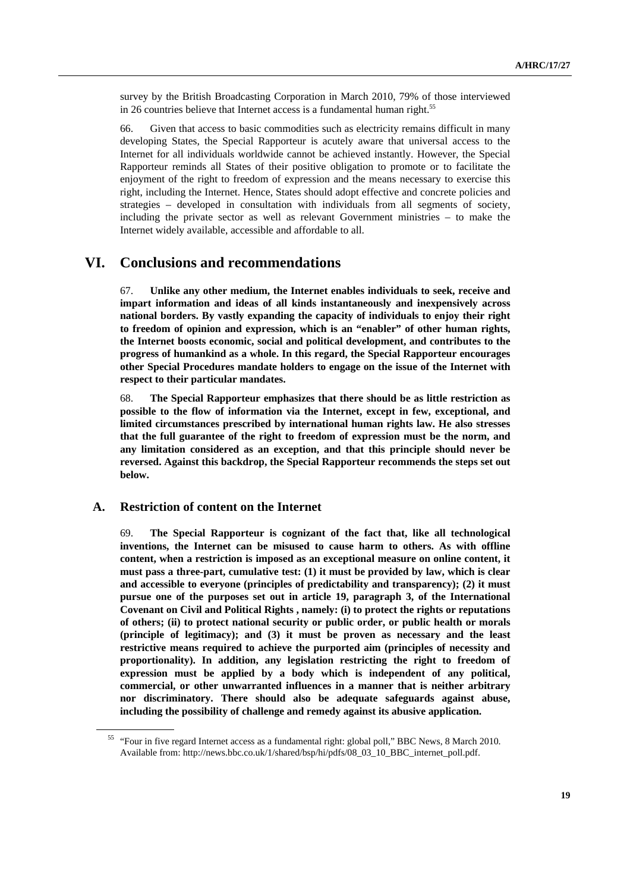survey by the British Broadcasting Corporation in March 2010, 79% of those interviewed in 26 countries believe that Internet access is a fundamental human right.<sup>55</sup>

66. Given that access to basic commodities such as electricity remains difficult in many developing States, the Special Rapporteur is acutely aware that universal access to the Internet for all individuals worldwide cannot be achieved instantly. However, the Special Rapporteur reminds all States of their positive obligation to promote or to facilitate the enjoyment of the right to freedom of expression and the means necessary to exercise this right, including the Internet. Hence, States should adopt effective and concrete policies and strategies – developed in consultation with individuals from all segments of society, including the private sector as well as relevant Government ministries – to make the Internet widely available, accessible and affordable to all.

# **VI. Conclusions and recommendations**

67. **Unlike any other medium, the Internet enables individuals to seek, receive and impart information and ideas of all kinds instantaneously and inexpensively across national borders. By vastly expanding the capacity of individuals to enjoy their right to freedom of opinion and expression, which is an "enabler" of other human rights, the Internet boosts economic, social and political development, and contributes to the progress of humankind as a whole. In this regard, the Special Rapporteur encourages other Special Procedures mandate holders to engage on the issue of the Internet with respect to their particular mandates.** 

68. **The Special Rapporteur emphasizes that there should be as little restriction as possible to the flow of information via the Internet, except in few, exceptional, and limited circumstances prescribed by international human rights law. He also stresses that the full guarantee of the right to freedom of expression must be the norm, and any limitation considered as an exception, and that this principle should never be reversed. Against this backdrop, the Special Rapporteur recommends the steps set out below.** 

#### **A. Restriction of content on the Internet**

69. **The Special Rapporteur is cognizant of the fact that, like all technological inventions, the Internet can be misused to cause harm to others. As with offline content, when a restriction is imposed as an exceptional measure on online content, it must pass a three-part, cumulative test: (1) it must be provided by law, which is clear and accessible to everyone (principles of predictability and transparency); (2) it must pursue one of the purposes set out in article 19, paragraph 3, of the International Covenant on Civil and Political Rights , namely: (i) to protect the rights or reputations of others; (ii) to protect national security or public order, or public health or morals (principle of legitimacy); and (3) it must be proven as necessary and the least restrictive means required to achieve the purported aim (principles of necessity and proportionality). In addition, any legislation restricting the right to freedom of expression must be applied by a body which is independent of any political, commercial, or other unwarranted influences in a manner that is neither arbitrary nor discriminatory. There should also be adequate safeguards against abuse, including the possibility of challenge and remedy against its abusive application.** 

<sup>55 &</sup>quot;Four in five regard Internet access as a fundamental right: global poll," BBC News, 8 March 2010. Available from: http://news.bbc.co.uk/1/shared/bsp/hi/pdfs/08\_03\_10\_BBC\_internet\_poll.pdf.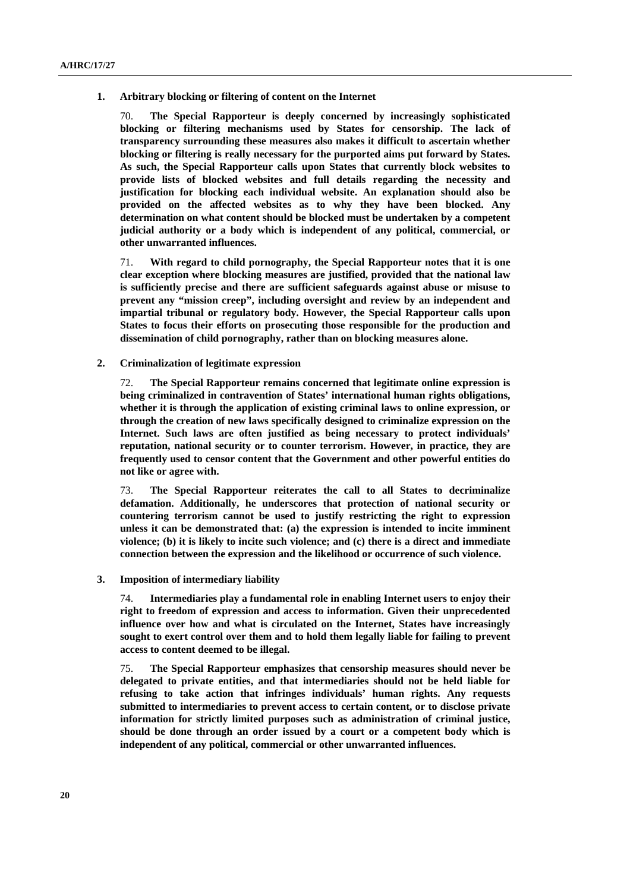**1. Arbitrary blocking or filtering of content on the Internet** 

70. **The Special Rapporteur is deeply concerned by increasingly sophisticated blocking or filtering mechanisms used by States for censorship. The lack of transparency surrounding these measures also makes it difficult to ascertain whether blocking or filtering is really necessary for the purported aims put forward by States. As such, the Special Rapporteur calls upon States that currently block websites to provide lists of blocked websites and full details regarding the necessity and justification for blocking each individual website. An explanation should also be provided on the affected websites as to why they have been blocked. Any determination on what content should be blocked must be undertaken by a competent judicial authority or a body which is independent of any political, commercial, or other unwarranted influences.** 

71. **With regard to child pornography, the Special Rapporteur notes that it is one clear exception where blocking measures are justified, provided that the national law is sufficiently precise and there are sufficient safeguards against abuse or misuse to prevent any "mission creep", including oversight and review by an independent and impartial tribunal or regulatory body. However, the Special Rapporteur calls upon States to focus their efforts on prosecuting those responsible for the production and dissemination of child pornography, rather than on blocking measures alone.** 

 **2. Criminalization of legitimate expression** 

72. **The Special Rapporteur remains concerned that legitimate online expression is being criminalized in contravention of States' international human rights obligations, whether it is through the application of existing criminal laws to online expression, or through the creation of new laws specifically designed to criminalize expression on the Internet. Such laws are often justified as being necessary to protect individuals' reputation, national security or to counter terrorism. However, in practice, they are frequently used to censor content that the Government and other powerful entities do not like or agree with.** 

73. **The Special Rapporteur reiterates the call to all States to decriminalize defamation. Additionally, he underscores that protection of national security or countering terrorism cannot be used to justify restricting the right to expression unless it can be demonstrated that: (a) the expression is intended to incite imminent violence; (b) it is likely to incite such violence; and (c) there is a direct and immediate connection between the expression and the likelihood or occurrence of such violence.** 

 **3. Imposition of intermediary liability** 

74. **Intermediaries play a fundamental role in enabling Internet users to enjoy their right to freedom of expression and access to information. Given their unprecedented influence over how and what is circulated on the Internet, States have increasingly sought to exert control over them and to hold them legally liable for failing to prevent access to content deemed to be illegal.** 

75. **The Special Rapporteur emphasizes that censorship measures should never be delegated to private entities, and that intermediaries should not be held liable for refusing to take action that infringes individuals' human rights. Any requests submitted to intermediaries to prevent access to certain content, or to disclose private information for strictly limited purposes such as administration of criminal justice, should be done through an order issued by a court or a competent body which is independent of any political, commercial or other unwarranted influences.**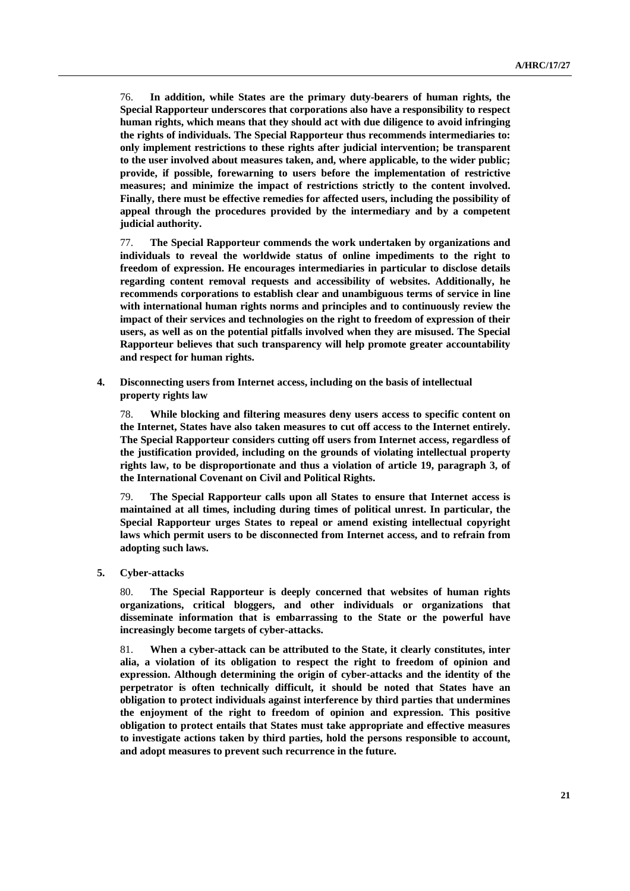76. **In addition, while States are the primary duty-bearers of human rights, the Special Rapporteur underscores that corporations also have a responsibility to respect human rights, which means that they should act with due diligence to avoid infringing the rights of individuals. The Special Rapporteur thus recommends intermediaries to: only implement restrictions to these rights after judicial intervention; be transparent to the user involved about measures taken, and, where applicable, to the wider public; provide, if possible, forewarning to users before the implementation of restrictive measures; and minimize the impact of restrictions strictly to the content involved. Finally, there must be effective remedies for affected users, including the possibility of appeal through the procedures provided by the intermediary and by a competent judicial authority.** 

77. **The Special Rapporteur commends the work undertaken by organizations and individuals to reveal the worldwide status of online impediments to the right to freedom of expression. He encourages intermediaries in particular to disclose details regarding content removal requests and accessibility of websites. Additionally, he recommends corporations to establish clear and unambiguous terms of service in line with international human rights norms and principles and to continuously review the impact of their services and technologies on the right to freedom of expression of their users, as well as on the potential pitfalls involved when they are misused. The Special Rapporteur believes that such transparency will help promote greater accountability and respect for human rights.** 

 **4. Disconnecting users from Internet access, including on the basis of intellectual property rights law** 

78. **While blocking and filtering measures deny users access to specific content on the Internet, States have also taken measures to cut off access to the Internet entirely. The Special Rapporteur considers cutting off users from Internet access, regardless of the justification provided, including on the grounds of violating intellectual property rights law, to be disproportionate and thus a violation of article 19, paragraph 3, of the International Covenant on Civil and Political Rights.** 

79. **The Special Rapporteur calls upon all States to ensure that Internet access is maintained at all times, including during times of political unrest. In particular, the Special Rapporteur urges States to repeal or amend existing intellectual copyright laws which permit users to be disconnected from Internet access, and to refrain from adopting such laws.** 

 **5. Cyber-attacks** 

80. **The Special Rapporteur is deeply concerned that websites of human rights organizations, critical bloggers, and other individuals or organizations that disseminate information that is embarrassing to the State or the powerful have increasingly become targets of cyber-attacks.** 

81. **When a cyber-attack can be attributed to the State, it clearly constitutes, inter alia, a violation of its obligation to respect the right to freedom of opinion and expression. Although determining the origin of cyber-attacks and the identity of the perpetrator is often technically difficult, it should be noted that States have an obligation to protect individuals against interference by third parties that undermines the enjoyment of the right to freedom of opinion and expression. This positive obligation to protect entails that States must take appropriate and effective measures to investigate actions taken by third parties, hold the persons responsible to account, and adopt measures to prevent such recurrence in the future.**